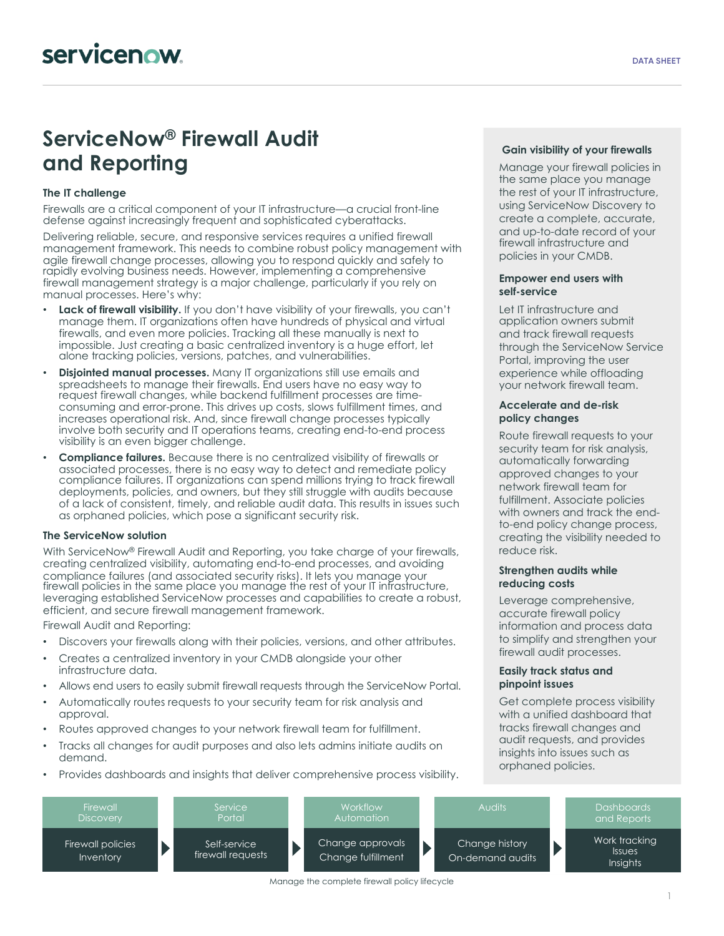# **ServiceNow® Firewall Audit and Reporting**

# **The IT challenge**

Firewalls are a critical component of your IT infrastructure—a crucial front-line defense against increasingly frequent and sophisticated cyberattacks.

Delivering reliable, secure, and responsive services requires a unified firewall management framework. This needs to combine robust policy management with agile firewall change processes, allowing you to respond quickly and safely to rapidly evolving business needs. However, implementing a comprehensive firewall management strategy is a major challenge, particularly if you rely on manual processes. Here's why:

- **Lack of firewall visibility.** If you don't have visibility of your firewalls, you can't manage them. IT organizations often have hundreds of physical and virtual firewalls, and even more policies. Tracking all these manually is next to impossible. Just creating a basic centralized inventory is a huge effort, let alone tracking policies, versions, patches, and vulnerabilities.
- **Disjointed manual processes.** Many IT organizations still use emails and spreadsheets to manage their firewalls. End users have no easy way to request firewall changes, while backend fulfillment processes are timeconsuming and error-prone. This drives up costs, slows fulfillment times, and increases operational risk. And, since firewall change processes typically involve both security and IT operations teams, creating end-to-end process visibility is an even bigger challenge.
- **Compliance failures.** Because there is no centralized visibility of firewalls or associated processes, there is no easy way to detect and remediate policy compliance failures. IT organizations can spend millions trying to track firewall deployments, policies, and owners, but they still struggle with audits because of a lack of consistent, timely, and reliable audit data. This results in issues such as orphaned policies, which pose a significant security risk.

## **The ServiceNow solution**

With ServiceNow® Firewall Audit and Reporting, you take charge of your firewalls, creating centralized visibility, automating end-to-end processes, and avoiding compliance failures (and associated security risks). It lets you manage your firewall policies in the same place you manage the rest of your IT infrastructure, leveraging established ServiceNow processes and capabilities to create a robust, efficient, and secure firewall management framework.

Firewall Audit and Reporting:

- Discovers your firewalls along with their policies, versions, and other attributes.
- Creates a centralized inventory in your CMDB alongside your other infrastructure data.
- Allows end users to easily submit firewall requests through the ServiceNow Portal.
- Automatically routes requests to your security team for risk analysis and approval.
- Routes approved changes to your network firewall team for fulfillment.
- Tracks all changes for audit purposes and also lets admins initiate audits on demand.
- Provides dashboards and insights that deliver comprehensive process visibility.

# **Gain visibility of your firewalls**

Manage your firewall policies in the same place you manage the rest of your IT infrastructure, using ServiceNow Discovery to create a complete, accurate, and up-to-date record of your firewall infrastructure and policies in your CMDB.

#### **Empower end users with self-service**

Let IT infrastructure and application owners submit and track firewall requests through the ServiceNow Service Portal, improving the user experience while offloading your network firewall team.

### **Accelerate and de-risk policy changes**

Route firewall requests to your security team for risk analysis, automatically forwarding approved changes to your network firewall team for fulfillment. Associate policies with owners and track the endto-end policy change process, creating the visibility needed to reduce risk.

### **Strengthen audits while reducing costs**

Leverage comprehensive, accurate firewall policy information and process data to simplify and strengthen your firewall audit processes.

#### **Easily track status and pinpoint issues**

Get complete process visibility with a unified dashboard that tracks firewall changes and audit requests, and provides insights into issues such as orphaned policies.



Manage the complete firewall policy lifecycle